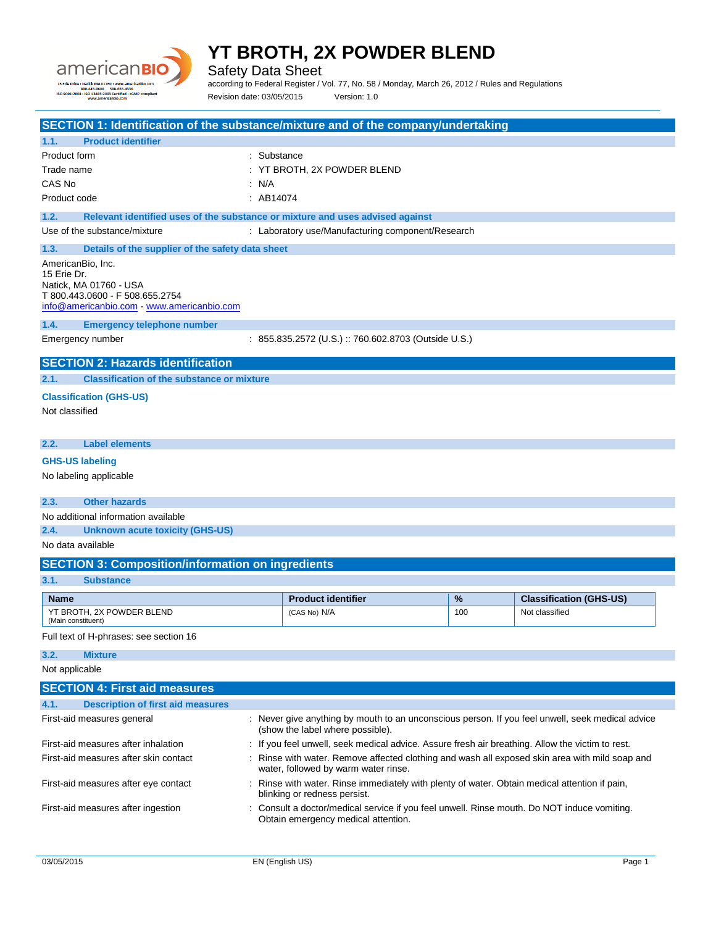

Safety Data Sheet

according to Federal Register / Vol. 77, No. 58 / Monday, March 26, 2012 / Rules and Regulations Revision date: 03/05/2015 Version: 1.0

| SECTION 1: Identification of the substance/mixture and of the company/undertaking     |             |                                                                                                                                        |     |                                |  |
|---------------------------------------------------------------------------------------|-------------|----------------------------------------------------------------------------------------------------------------------------------------|-----|--------------------------------|--|
| <b>Product identifier</b><br>1.1.                                                     |             |                                                                                                                                        |     |                                |  |
| Product form                                                                          | : Substance |                                                                                                                                        |     |                                |  |
| Trade name                                                                            |             | : YT BROTH, 2X POWDER BLEND                                                                                                            |     |                                |  |
| CAS No                                                                                | : N/A       |                                                                                                                                        |     |                                |  |
| Product code                                                                          | : AB14074   |                                                                                                                                        |     |                                |  |
| 1.2.<br>Relevant identified uses of the substance or mixture and uses advised against |             |                                                                                                                                        |     |                                |  |
| Use of the substance/mixture                                                          |             | : Laboratory use/Manufacturing component/Research                                                                                      |     |                                |  |
| 1.3.<br>Details of the supplier of the safety data sheet                              |             |                                                                                                                                        |     |                                |  |
| AmericanBio, Inc.                                                                     |             |                                                                                                                                        |     |                                |  |
| 15 Erie Dr.<br>Natick, MA 01760 - USA                                                 |             |                                                                                                                                        |     |                                |  |
| T 800.443.0600 - F 508.655.2754                                                       |             |                                                                                                                                        |     |                                |  |
| info@americanbio.com - www.americanbio.com                                            |             |                                                                                                                                        |     |                                |  |
| 1.4.<br><b>Emergency telephone number</b>                                             |             |                                                                                                                                        |     |                                |  |
| Emergency number                                                                      |             | : 855.835.2572 (U.S.):760.602.8703 (Outside U.S.)                                                                                      |     |                                |  |
| <b>SECTION 2: Hazards identification</b>                                              |             |                                                                                                                                        |     |                                |  |
| <b>Classification of the substance or mixture</b><br>2.1.                             |             |                                                                                                                                        |     |                                |  |
|                                                                                       |             |                                                                                                                                        |     |                                |  |
| <b>Classification (GHS-US)</b>                                                        |             |                                                                                                                                        |     |                                |  |
| Not classified                                                                        |             |                                                                                                                                        |     |                                |  |
|                                                                                       |             |                                                                                                                                        |     |                                |  |
| 2.2.<br><b>Label elements</b>                                                         |             |                                                                                                                                        |     |                                |  |
| <b>GHS-US labeling</b>                                                                |             |                                                                                                                                        |     |                                |  |
| No labeling applicable                                                                |             |                                                                                                                                        |     |                                |  |
|                                                                                       |             |                                                                                                                                        |     |                                |  |
| <b>Other hazards</b><br>2.3.                                                          |             |                                                                                                                                        |     |                                |  |
| No additional information available                                                   |             |                                                                                                                                        |     |                                |  |
| 2.4.<br><b>Unknown acute toxicity (GHS-US)</b><br>No data available                   |             |                                                                                                                                        |     |                                |  |
|                                                                                       |             |                                                                                                                                        |     |                                |  |
| <b>SECTION 3: Composition/information on ingredients</b>                              |             |                                                                                                                                        |     |                                |  |
| 3.1.<br><b>Substance</b>                                                              |             |                                                                                                                                        |     |                                |  |
| <b>Name</b>                                                                           |             | <b>Product identifier</b>                                                                                                              | %   | <b>Classification (GHS-US)</b> |  |
| YT BROTH, 2X POWDER BLEND<br>(Main constituent)                                       |             | (CAS No) N/A                                                                                                                           | 100 | Not classified                 |  |
| Full text of H-phrases: see section 16                                                |             |                                                                                                                                        |     |                                |  |
|                                                                                       |             |                                                                                                                                        |     |                                |  |
| 3.2.<br><b>Mixture</b>                                                                |             |                                                                                                                                        |     |                                |  |
| Not applicable                                                                        |             |                                                                                                                                        |     |                                |  |
| <b>SECTION 4: First aid measures</b>                                                  |             |                                                                                                                                        |     |                                |  |
| <b>Description of first aid measures</b><br>4.1.                                      |             |                                                                                                                                        |     |                                |  |
| First-aid measures general                                                            |             | : Never give anything by mouth to an unconscious person. If you feel unwell, seek medical advice<br>(show the label where possible).   |     |                                |  |
| First-aid measures after inhalation                                                   |             | : If you feel unwell, seek medical advice. Assure fresh air breathing. Allow the victim to rest.                                       |     |                                |  |
| First-aid measures after skin contact                                                 |             | : Rinse with water. Remove affected clothing and wash all exposed skin area with mild soap and<br>water, followed by warm water rinse. |     |                                |  |
| First-aid measures after eye contact                                                  |             | : Rinse with water. Rinse immediately with plenty of water. Obtain medical attention if pain,<br>blinking or redness persist.          |     |                                |  |
| First-aid measures after ingestion                                                    |             | : Consult a doctor/medical service if you feel unwell. Rinse mouth. Do NOT induce vomiting.<br>Obtain emergency medical attention.     |     |                                |  |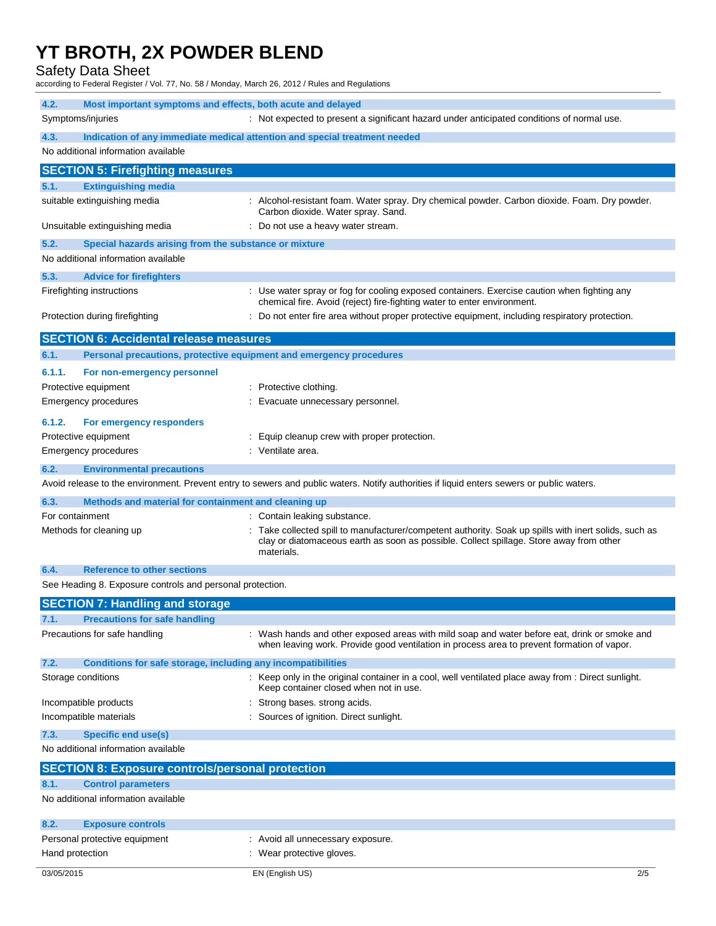Safety Data Sheet

according to Federal Register / Vol. 77, No. 58 / Monday, March 26, 2012 / Rules and Regulations

| 4.2.<br>Most important symptoms and effects, both acute and delayed         |                                                                                                                                                                                                                |
|-----------------------------------------------------------------------------|----------------------------------------------------------------------------------------------------------------------------------------------------------------------------------------------------------------|
| Symptoms/injuries                                                           | : Not expected to present a significant hazard under anticipated conditions of normal use.                                                                                                                     |
| 4.3.                                                                        | Indication of any immediate medical attention and special treatment needed                                                                                                                                     |
| No additional information available                                         |                                                                                                                                                                                                                |
| <b>SECTION 5: Firefighting measures</b>                                     |                                                                                                                                                                                                                |
| 5.1.<br><b>Extinguishing media</b>                                          |                                                                                                                                                                                                                |
| suitable extinguishing media                                                | : Alcohol-resistant foam. Water spray. Dry chemical powder. Carbon dioxide. Foam. Dry powder.                                                                                                                  |
|                                                                             | Carbon dioxide. Water spray. Sand.                                                                                                                                                                             |
| Unsuitable extinguishing media                                              | : Do not use a heavy water stream.                                                                                                                                                                             |
| 5.2.<br>Special hazards arising from the substance or mixture               |                                                                                                                                                                                                                |
| No additional information available                                         |                                                                                                                                                                                                                |
| 5.3.<br><b>Advice for firefighters</b>                                      |                                                                                                                                                                                                                |
| Firefighting instructions                                                   | : Use water spray or fog for cooling exposed containers. Exercise caution when fighting any<br>chemical fire. Avoid (reject) fire-fighting water to enter environment.                                         |
| Protection during firefighting                                              | : Do not enter fire area without proper protective equipment, including respiratory protection.                                                                                                                |
|                                                                             |                                                                                                                                                                                                                |
| <b>SECTION 6: Accidental release measures</b>                               |                                                                                                                                                                                                                |
| 6.1.<br>Personal precautions, protective equipment and emergency procedures |                                                                                                                                                                                                                |
| 6.1.1.<br>For non-emergency personnel                                       |                                                                                                                                                                                                                |
| Protective equipment                                                        | : Protective clothing.                                                                                                                                                                                         |
| Emergency procedures                                                        | : Evacuate unnecessary personnel.                                                                                                                                                                              |
| 6.1.2.<br>For emergency responders                                          |                                                                                                                                                                                                                |
| Protective equipment                                                        | : Equip cleanup crew with proper protection.                                                                                                                                                                   |
| Emergency procedures                                                        | : Ventilate area.                                                                                                                                                                                              |
| 6.2.<br><b>Environmental precautions</b>                                    |                                                                                                                                                                                                                |
|                                                                             | Avoid release to the environment. Prevent entry to sewers and public waters. Notify authorities if liquid enters sewers or public waters.                                                                      |
| 6.3.<br>Methods and material for containment and cleaning up                |                                                                                                                                                                                                                |
| For containment                                                             | : Contain leaking substance.                                                                                                                                                                                   |
| Methods for cleaning up                                                     | : Take collected spill to manufacturer/competent authority. Soak up spills with inert solids, such as<br>clay or diatomaceous earth as soon as possible. Collect spillage. Store away from other<br>materials. |
| 6.4.<br><b>Reference to other sections</b>                                  |                                                                                                                                                                                                                |
| See Heading 8. Exposure controls and personal protection.                   |                                                                                                                                                                                                                |
| <b>SECTION 7: Handling and storage</b>                                      |                                                                                                                                                                                                                |
| 7.1<br><b>Precautions for safe handling</b>                                 |                                                                                                                                                                                                                |
| Precautions for safe handling                                               | : Wash hands and other exposed areas with mild soap and water before eat, drink or smoke and<br>when leaving work. Provide good ventilation in process area to prevent formation of vapor.                     |
| Conditions for safe storage, including any incompatibilities<br>7.2.        |                                                                                                                                                                                                                |
| Storage conditions                                                          | : Keep only in the original container in a cool, well ventilated place away from : Direct sunlight.<br>Keep container closed when not in use.                                                                  |
| Incompatible products                                                       | : Strong bases. strong acids.                                                                                                                                                                                  |
| Incompatible materials                                                      | : Sources of ignition. Direct sunlight.                                                                                                                                                                        |
| 7.3.<br><b>Specific end use(s)</b>                                          |                                                                                                                                                                                                                |
| No additional information available                                         |                                                                                                                                                                                                                |
| <b>SECTION 8: Exposure controls/personal protection</b>                     |                                                                                                                                                                                                                |
| <b>Control parameters</b><br>8.1.                                           |                                                                                                                                                                                                                |
| No additional information available                                         |                                                                                                                                                                                                                |
|                                                                             |                                                                                                                                                                                                                |
| 8.2.<br><b>Exposure controls</b>                                            |                                                                                                                                                                                                                |
| Personal protective equipment                                               | : Avoid all unnecessary exposure.                                                                                                                                                                              |
| Hand protection                                                             | : Wear protective gloves.                                                                                                                                                                                      |
| 03/05/2015                                                                  | EN (English US)<br>2/5                                                                                                                                                                                         |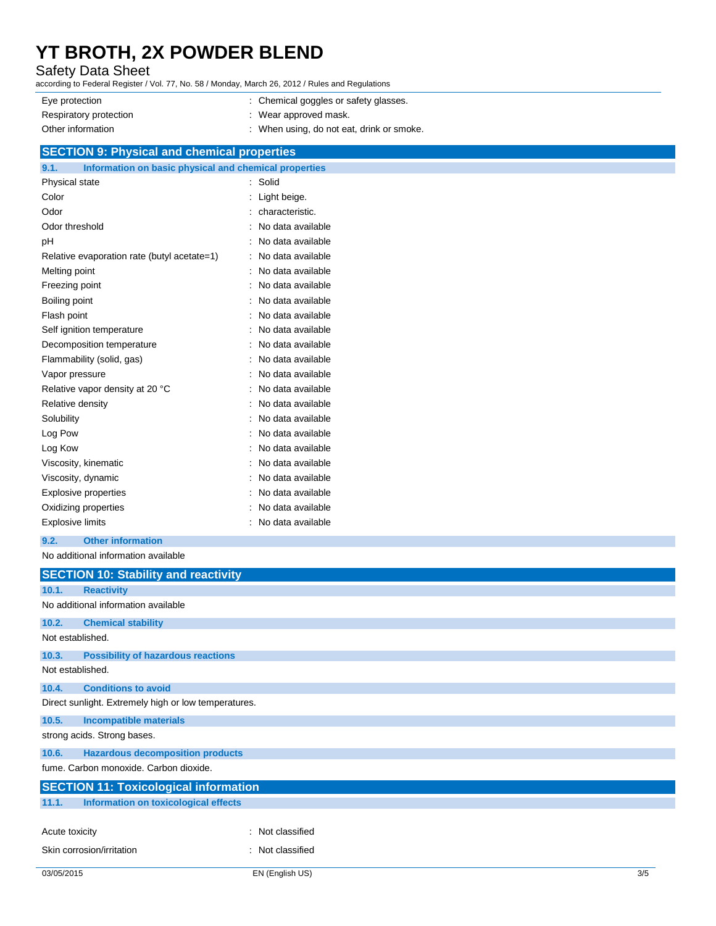### Safety Data Sheet

according to Federal Register / Vol. 77, No. 58 / Monday, March 26, 2012 / Rules and Regulations

| Eye protection         | : Chemical goggles or safety glasses.     |
|------------------------|-------------------------------------------|
| Respiratory protection | : Wear approved mask.                     |
| Other information      | : When using, do not eat, drink or smoke. |

## **SECTION 9: Physical and chemical properties**

| 9.1.                    | Information on basic physical and chemical properties |                   |
|-------------------------|-------------------------------------------------------|-------------------|
| Physical state          |                                                       | Solid             |
| Color                   |                                                       | Light beige.      |
| Odor                    |                                                       | characteristic.   |
| Odor threshold          |                                                       | No data available |
| рH                      |                                                       | No data available |
|                         | Relative evaporation rate (butyl acetate=1)           | No data available |
| Melting point           |                                                       | No data available |
| Freezing point          |                                                       | No data available |
| Boiling point           |                                                       | No data available |
| Flash point             |                                                       | No data available |
|                         | Self ignition temperature                             | No data available |
|                         | Decomposition temperature                             | No data available |
|                         | Flammability (solid, gas)                             | No data available |
| Vapor pressure          |                                                       | No data available |
|                         | Relative vapor density at 20 °C                       | No data available |
| Relative density        |                                                       | No data available |
| Solubility              |                                                       | No data available |
| Log Pow                 |                                                       | No data available |
| Log Kow                 |                                                       | No data available |
|                         | Viscosity, kinematic                                  | No data available |
| Viscosity, dynamic      |                                                       | No data available |
|                         | Explosive properties                                  | No data available |
|                         | Oxidizing properties                                  | No data available |
| <b>Explosive limits</b> |                                                       | No data available |

**9.2. Other information**

### No additional information available

|                           | <b>SECTION 10: Stability and reactivity</b>          |                  |  |  |  |
|---------------------------|------------------------------------------------------|------------------|--|--|--|
| 10.1.                     | <b>Reactivity</b>                                    |                  |  |  |  |
|                           | No additional information available                  |                  |  |  |  |
| 10.2.                     | <b>Chemical stability</b>                            |                  |  |  |  |
| Not established.          |                                                      |                  |  |  |  |
| 10.3.                     | <b>Possibility of hazardous reactions</b>            |                  |  |  |  |
| Not established.          |                                                      |                  |  |  |  |
| 10.4.                     | <b>Conditions to avoid</b>                           |                  |  |  |  |
|                           | Direct sunlight. Extremely high or low temperatures. |                  |  |  |  |
| 10.5.                     | <b>Incompatible materials</b>                        |                  |  |  |  |
|                           | strong acids. Strong bases.                          |                  |  |  |  |
| 10.6.                     | <b>Hazardous decomposition products</b>              |                  |  |  |  |
|                           | fume. Carbon monoxide. Carbon dioxide.               |                  |  |  |  |
|                           | <b>SECTION 11: Toxicological information</b>         |                  |  |  |  |
| 11.1.                     | Information on toxicological effects                 |                  |  |  |  |
|                           |                                                      | : Not classified |  |  |  |
| Acute toxicity            |                                                      |                  |  |  |  |
| Skin corrosion/irritation |                                                      | : Not classified |  |  |  |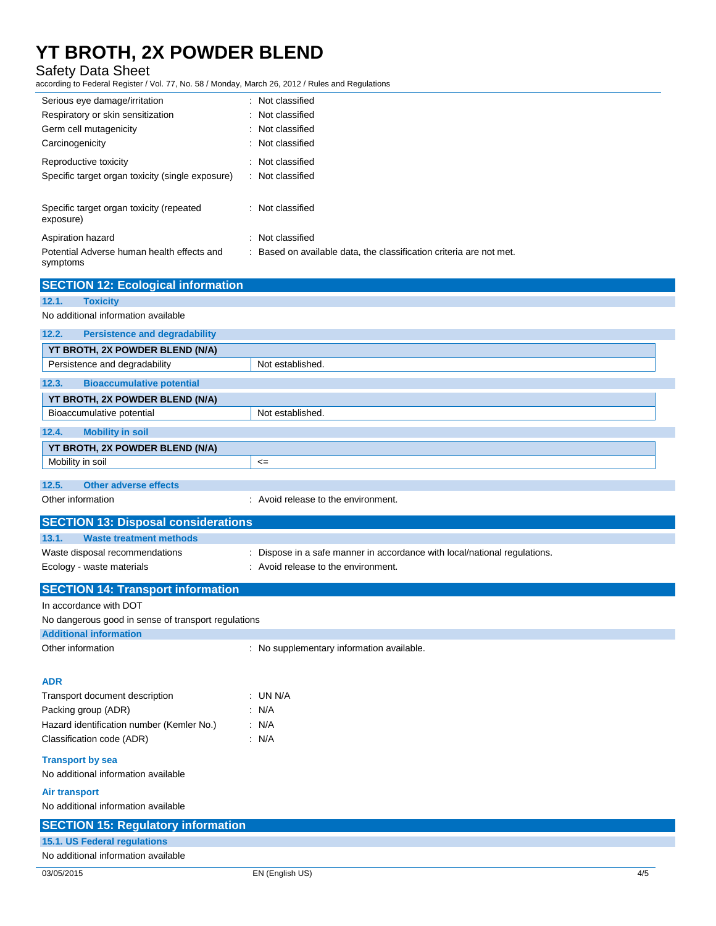### Safety Data Sheet

according to Federal Register / Vol. 77, No. 58 / Monday, March 26, 2012 / Rules and Regulations

| Serious eye damage/irritation                          | : Not classified                                                    |
|--------------------------------------------------------|---------------------------------------------------------------------|
| Respiratory or skin sensitization                      | : Not classified                                                    |
| Germ cell mutagenicity                                 | : Not classified                                                    |
| Carcinogenicity                                        | : Not classified                                                    |
| Reproductive toxicity                                  | Not classified                                                      |
| Specific target organ toxicity (single exposure)       | : Not classified                                                    |
| Specific target organ toxicity (repeated<br>exposure)  | : Not classified                                                    |
| Aspiration hazard                                      | Not classified                                                      |
| Potential Adverse human health effects and<br>symptoms | : Based on available data, the classification criteria are not met. |

| Potential Adverse human health effects and<br>symptoms | : Based on available data, the classification criteria are not met.       |     |
|--------------------------------------------------------|---------------------------------------------------------------------------|-----|
| <b>SECTION 12: Ecological information</b>              |                                                                           |     |
| 12.1.<br><b>Toxicity</b>                               |                                                                           |     |
| No additional information available                    |                                                                           |     |
| 12.2.<br><b>Persistence and degradability</b>          |                                                                           |     |
| YT BROTH, 2X POWDER BLEND (N/A)                        |                                                                           |     |
| Persistence and degradability                          | Not established.                                                          |     |
| 12.3.<br><b>Bioaccumulative potential</b>              |                                                                           |     |
| YT BROTH, 2X POWDER BLEND (N/A)                        |                                                                           |     |
| Bioaccumulative potential                              | Not established.                                                          |     |
| 12.4.<br><b>Mobility in soil</b>                       |                                                                           |     |
| YT BROTH, 2X POWDER BLEND (N/A)                        |                                                                           |     |
| Mobility in soil                                       | $\leq$                                                                    |     |
| 12.5.<br><b>Other adverse effects</b>                  |                                                                           |     |
| Other information                                      | : Avoid release to the environment.                                       |     |
| <b>SECTION 13: Disposal considerations</b>             |                                                                           |     |
| 13.1.<br><b>Waste treatment methods</b>                |                                                                           |     |
| Waste disposal recommendations                         | : Dispose in a safe manner in accordance with local/national regulations. |     |
| Ecology - waste materials                              | : Avoid release to the environment.                                       |     |
| <b>SECTION 14: Transport information</b>               |                                                                           |     |
| In accordance with DOT                                 |                                                                           |     |
| No dangerous good in sense of transport regulations    |                                                                           |     |
| <b>Additional information</b>                          |                                                                           |     |
| Other information                                      | : No supplementary information available.                                 |     |
|                                                        |                                                                           |     |
| <b>ADR</b>                                             |                                                                           |     |
| Transport document description                         | : UN N/A                                                                  |     |
| Packing group (ADR)                                    | : N/A                                                                     |     |
| Hazard identification number (Kemler No.)              | : N/A                                                                     |     |
| Classification code (ADR)                              | : N/A                                                                     |     |
| <b>Transport by sea</b>                                |                                                                           |     |
| No additional information available                    |                                                                           |     |
| <b>Air transport</b>                                   |                                                                           |     |
| No additional information available                    |                                                                           |     |
| <b>SECTION 15: Regulatory information</b>              |                                                                           |     |
| 15.1. US Federal regulations                           |                                                                           |     |
| No additional information available                    |                                                                           |     |
| 03/05/2015                                             | EN (English US)                                                           | 4/5 |